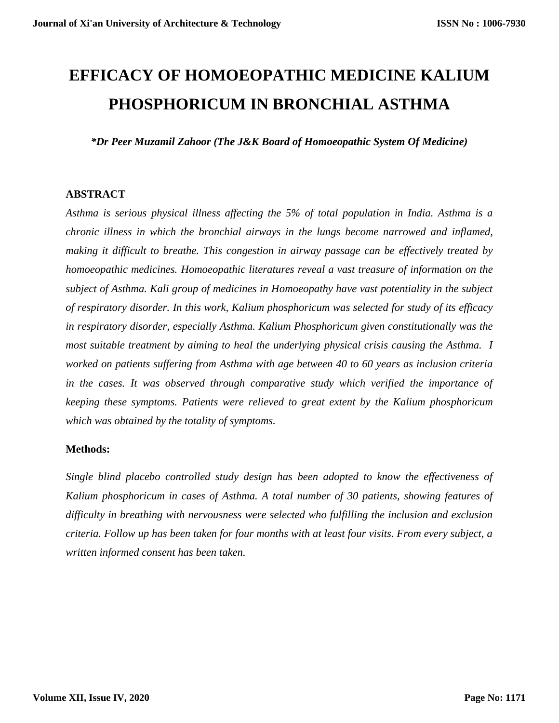# **EFFICACY OF HOMOEOPATHIC MEDICINE KALIUM PHOSPHORICUM IN BRONCHIAL ASTHMA**

*\*Dr Peer Muzamil Zahoor (The J&K Board of Homoeopathic System Of Medicine)* 

#### **ABSTRACT**

*Asthma is serious physical illness affecting the 5% of total population in India. Asthma is a chronic illness in which the bronchial airways in the lungs become narrowed and inflamed, making it difficult to breathe. This congestion in airway passage can be effectively treated by homoeopathic medicines. Homoeopathic literatures reveal a vast treasure of information on the subject of Asthma. Kali group of medicines in Homoeopathy have vast potentiality in the subject of respiratory disorder. In this work, Kalium phosphoricum was selected for study of its efficacy in respiratory disorder, especially Asthma. Kalium Phosphoricum given constitutionally was the most suitable treatment by aiming to heal the underlying physical crisis causing the Asthma. I worked on patients suffering from Asthma with age between 40 to 60 years as inclusion criteria in the cases. It was observed through comparative study which verified the importance of keeping these symptoms. Patients were relieved to great extent by the Kalium phosphoricum which was obtained by the totality of symptoms.* 

#### **Methods:**

*Single blind placebo controlled study design has been adopted to know the effectiveness of Kalium phosphoricum in cases of Asthma. A total number of 30 patients, showing features of difficulty in breathing with nervousness were selected who fulfilling the inclusion and exclusion criteria. Follow up has been taken for four months with at least four visits. From every subject, a written informed consent has been taken.*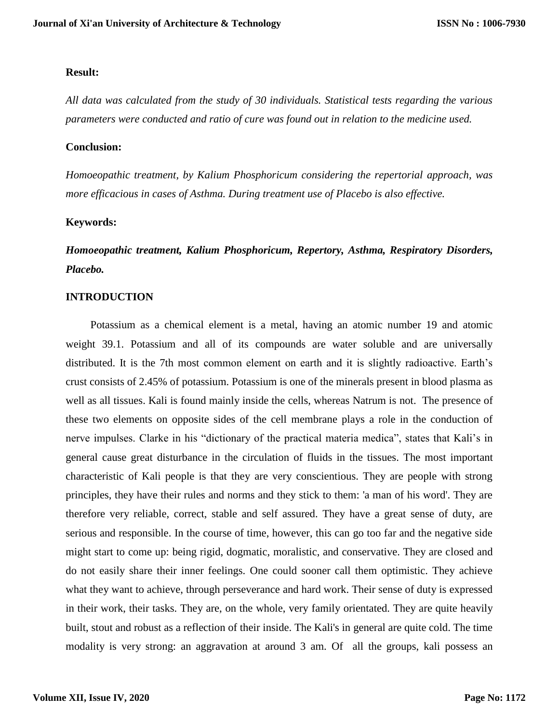#### **Result:**

*All data was calculated from the study of 30 individuals. Statistical tests regarding the various parameters were conducted and ratio of cure was found out in relation to the medicine used.* 

#### **Conclusion:**

*Homoeopathic treatment, by Kalium Phosphoricum considering the repertorial approach, was more efficacious in cases of Asthma. During treatment use of Placebo is also effective.* 

#### **Keywords:**

*Homoeopathic treatment, Kalium Phosphoricum, Repertory, Asthma, Respiratory Disorders, Placebo.* 

#### **INTRODUCTION**

 Potassium as a chemical element is a metal, having an atomic number 19 and atomic weight 39.1. Potassium and all of its compounds are water soluble and are universally distributed. It is the 7th most common element on earth and it is slightly radioactive. Earth's crust consists of 2.45% of potassium. Potassium is one of the minerals present in blood plasma as well as all tissues. Kali is found mainly inside the cells, whereas Natrum is not. The presence of these two elements on opposite sides of the cell membrane plays a role in the conduction of nerve impulses. Clarke in his "dictionary of the practical materia medica", states that Kali's in general cause great disturbance in the circulation of fluids in the tissues. The most important characteristic of Kali people is that they are very conscientious. They are people with strong principles, they have their rules and norms and they stick to them: 'a man of his word'. They are therefore very reliable, correct, stable and self assured. They have a great sense of duty, are serious and responsible. In the course of time, however, this can go too far and the negative side might start to come up: being rigid, dogmatic, moralistic, and conservative. They are closed and do not easily share their inner feelings. One could sooner call them optimistic. They achieve what they want to achieve, through perseverance and hard work. Their sense of duty is expressed in their work, their tasks. They are, on the whole, very family orientated. They are quite heavily built, stout and robust as a reflection of their inside. The Kali's in general are quite cold. The time modality is very strong: an aggravation at around 3 am. Of all the groups, kali possess an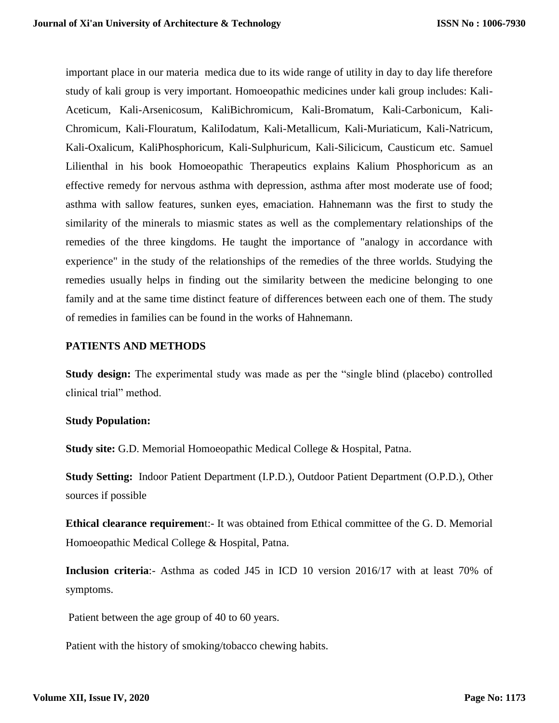important place in our materia medica due to its wide range of utility in day to day life therefore study of kali group is very important. Homoeopathic medicines under kali group includes: Kali-Aceticum, Kali-Arsenicosum, KaliBichromicum, Kali-Bromatum, Kali-Carbonicum, Kali-Chromicum, Kali-Flouratum, KaliIodatum, Kali-Metallicum, Kali-Muriaticum, Kali-Natricum, Kali-Oxalicum, KaliPhosphoricum, Kali-Sulphuricum, Kali-Silicicum, Causticum etc. Samuel Lilienthal in his book Homoeopathic Therapeutics explains Kalium Phosphoricum as an effective remedy for nervous asthma with depression, asthma after most moderate use of food; asthma with sallow features, sunken eyes, emaciation. Hahnemann was the first to study the similarity of the minerals to miasmic states as well as the complementary relationships of the remedies of the three kingdoms. He taught the importance of "analogy in accordance with experience" in the study of the relationships of the remedies of the three worlds. Studying the remedies usually helps in finding out the similarity between the medicine belonging to one family and at the same time distinct feature of differences between each one of them. The study of remedies in families can be found in the works of Hahnemann.

#### **PATIENTS AND METHODS**

**Study design:** The experimental study was made as per the "single blind (placebo) controlled clinical trial" method.

#### **Study Population:**

**Study site:** G.D. Memorial Homoeopathic Medical College & Hospital, Patna.

**Study Setting:** Indoor Patient Department (I.P.D.), Outdoor Patient Department (O.P.D.), Other sources if possible

**Ethical clearance requiremen**t:- It was obtained from Ethical committee of the G. D. Memorial Homoeopathic Medical College & Hospital, Patna.

**Inclusion criteria**:- Asthma as coded J45 in ICD 10 version 2016/17 with at least 70% of symptoms.

Patient between the age group of 40 to 60 years.

Patient with the history of smoking/tobacco chewing habits.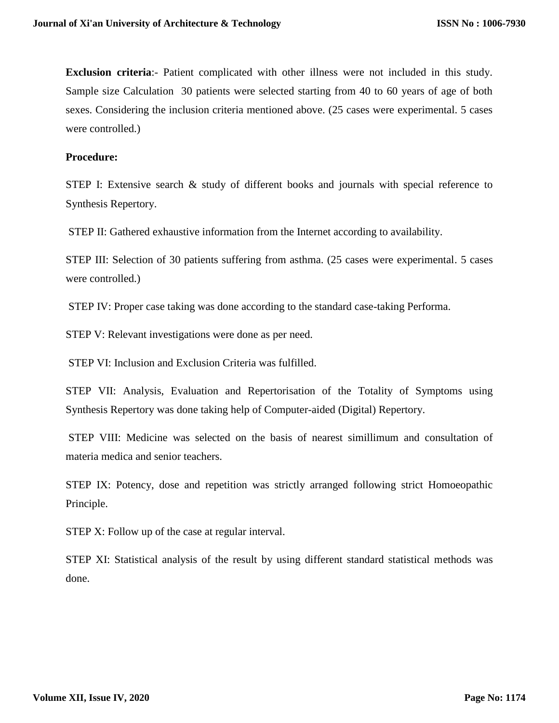**Exclusion criteria**:- Patient complicated with other illness were not included in this study. Sample size Calculation 30 patients were selected starting from 40 to 60 years of age of both sexes. Considering the inclusion criteria mentioned above. (25 cases were experimental. 5 cases were controlled.)

#### **Procedure:**

STEP I: Extensive search & study of different books and journals with special reference to Synthesis Repertory.

STEP II: Gathered exhaustive information from the Internet according to availability.

STEP III: Selection of 30 patients suffering from asthma. (25 cases were experimental. 5 cases were controlled.)

STEP IV: Proper case taking was done according to the standard case-taking Performa.

STEP V: Relevant investigations were done as per need.

STEP VI: Inclusion and Exclusion Criteria was fulfilled.

STEP VII: Analysis, Evaluation and Repertorisation of the Totality of Symptoms using Synthesis Repertory was done taking help of Computer-aided (Digital) Repertory.

STEP VIII: Medicine was selected on the basis of nearest simillimum and consultation of materia medica and senior teachers.

STEP IX: Potency, dose and repetition was strictly arranged following strict Homoeopathic Principle.

STEP X: Follow up of the case at regular interval.

STEP XI: Statistical analysis of the result by using different standard statistical methods was done.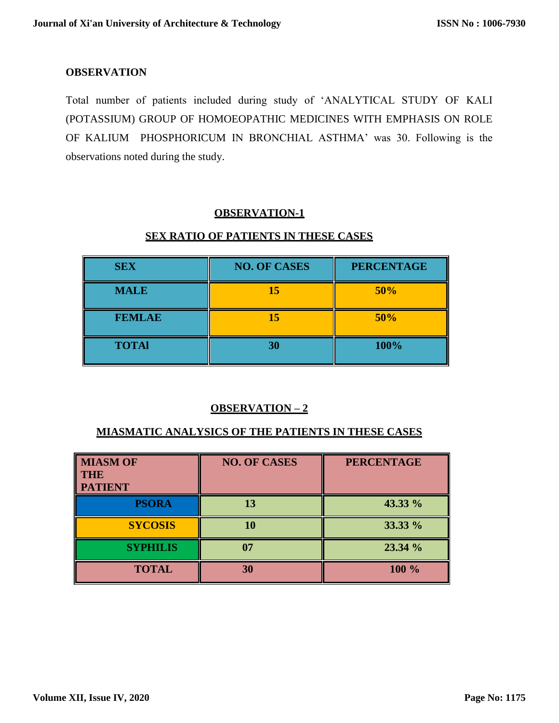#### **OBSERVATION**

Total number of patients included during study of 'ANALYTICAL STUDY OF KALI (POTASSIUM) GROUP OF HOMOEOPATHIC MEDICINES WITH EMPHASIS ON ROLE OF KALIUM PHOSPHORICUM IN BRONCHIAL ASTHMA' was 30. Following is the observations noted during the study.

## **OBSERVATION-1**

## **SEX RATIO OF PATIENTS IN THESE CASES**

| <b>SEX</b>    | <b>NO. OF CASES</b> | <b>PERCENTAGE</b> |
|---------------|---------------------|-------------------|
| <b>MALE</b>   | 15                  | 50%               |
| <b>FEMLAE</b> | 15                  | 50%               |
| <b>TOTAl</b>  | 30                  | 100%              |

## **OBSERVATION – 2**

#### **MIASMATIC ANALYSICS OF THE PATIENTS IN THESE CASES**

| <b>MIASM OF</b><br><b>THE</b><br><b>PATIENT</b> | <b>NO. OF CASES</b> | <b>PERCENTAGE</b> |
|-------------------------------------------------|---------------------|-------------------|
| <b>PSORA</b>                                    | 13                  | 43.33 %           |
| <b>SYCOSIS</b>                                  | 10                  | 33.33 %           |
| <b>SYPHILIS</b>                                 | 07                  | 23.34 %           |
| <b>TOTAL</b>                                    | 30                  | 100 %             |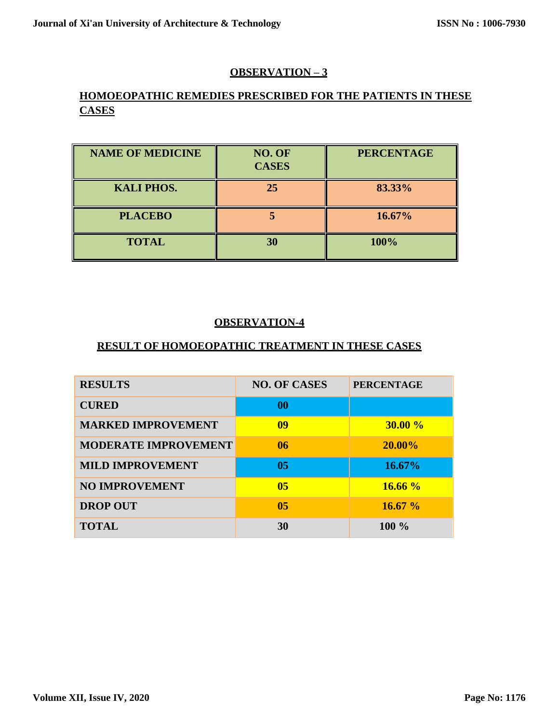## **OBSERVATION – 3**

## **HOMOEOPATHIC REMEDIES PRESCRIBED FOR THE PATIENTS IN THESE CASES**

| <b>NAME OF MEDICINE</b> | NO. OF<br><b>CASES</b> | <b>PERCENTAGE</b> |
|-------------------------|------------------------|-------------------|
| <b>KALI PHOS.</b>       | 25                     | 83.33%            |
| <b>PLACEBO</b>          |                        | 16.67%            |
| <b>TOTAL</b>            | 30                     | 100%              |

## **OBSERVATION-4**

## **RESULT OF HOMOEOPATHIC TREATMENT IN THESE CASES**

| <b>RESULTS</b>              | <b>NO. OF CASES</b> | <b>PERCENTAGE</b> |
|-----------------------------|---------------------|-------------------|
| <b>CURED</b>                | 00                  |                   |
| <b>MARKED IMPROVEMENT</b>   | 09                  | 30.00%            |
| <b>MODERATE IMPROVEMENT</b> | 06                  | 20.00%            |
| <b>MILD IMPROVEMENT</b>     | 05                  | 16.67%            |
| <b>NO IMPROVEMENT</b>       | 0 <sub>5</sub>      | 16.66%            |
| <b>DROP OUT</b>             | 05                  | 16.67%            |
| <b>TOTAL</b>                | 30                  | $100\%$           |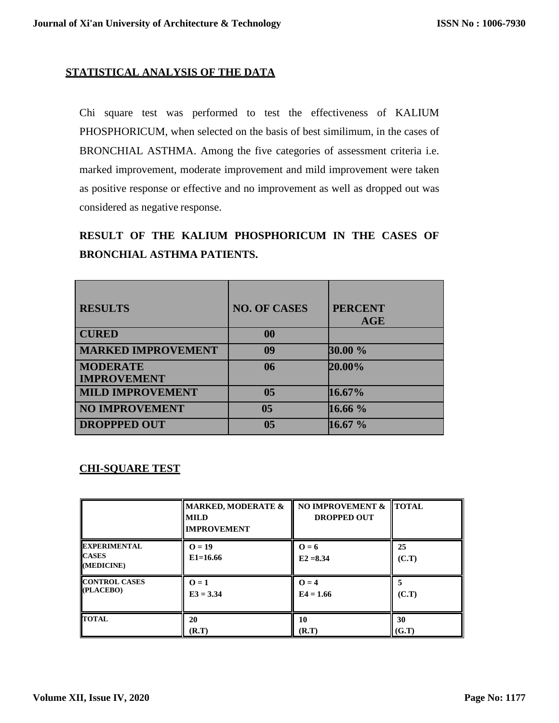## **STATISTICAL ANALYSIS OF THE DATA**

Chi square test was performed to test the effectiveness of KALIUM PHOSPHORICUM, when selected on the basis of best similimum, in the cases of BRONCHIAL ASTHMA. Among the five categories of assessment criteria i.e. marked improvement, moderate improvement and mild improvement were taken as positive response or effective and no improvement as well as dropped out was considered as negative response.

## **RESULT OF THE KALIUM PHOSPHORICUM IN THE CASES OF BRONCHIAL ASTHMA PATIENTS.**

| <b>RESULTS</b>            | <b>NO. OF CASES</b> | <b>PERCENT</b> |
|---------------------------|---------------------|----------------|
|                           |                     | <b>AGE</b>     |
| <b>CURED</b>              | 00                  |                |
| <b>MARKED IMPROVEMENT</b> | 09                  | 30.00 %        |
| <b>MODERATE</b>           | 06                  | 20.00%         |
| <b>IMPROVEMENT</b>        |                     |                |
| <b>MILD IMPROVEMENT</b>   | 0 <sub>5</sub>      | 16.67%         |
| <b>NO IMPROVEMENT</b>     | 05                  | 16.66 %        |
| <b>DROPPPED OUT</b>       | 05                  | 16.67 %        |

## **CHI-SQUARE TEST**

|                                                   | <b>MARKED, MODERATE &amp;</b><br><b>MILD</b><br><b>IMPROVEMENT</b> | NO IMPROVEMENT &<br><b>DROPPED OUT</b> | <b>TOTAL</b> |
|---------------------------------------------------|--------------------------------------------------------------------|----------------------------------------|--------------|
| <b>EXPERIMENTAL</b><br><b>CASES</b><br>(MEDICINE) | $Q = 19$<br>$E1 = 16.66$                                           | $Q = 6$<br>$E2 = 8.34$                 | 25<br>(C.T)  |
| <b>CONTROL CASES</b>                              | $0=1$                                                              | $Q = 4$                                | 5            |
| (PLACEBO)                                         | $E3 = 3.34$                                                        | $E4 = 1.66$                            | (C.T)        |
| <b>TOTAL</b>                                      | 20                                                                 | 10                                     | 30           |
|                                                   | (R.T)                                                              | (R.T)                                  | (G.T)        |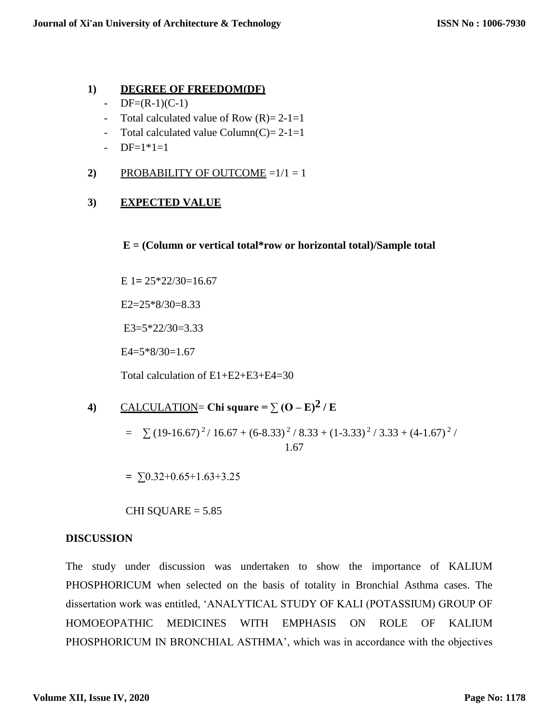## **1) DEGREE OF FREEDOM(DF)**

- $-$  DF=(R-1)(C-1)
- Total calculated value of Row  $(R)=2-1=1$
- Total calculated value Column(C)= $2-1=1$
- $-$  DF=1 $*1=1$
- 2) PROBABILITY OF OUTCOME  $=1/1 = 1$

## **3) EXPECTED VALUE**

#### **E = (Column or vertical total\*row or horizontal total)/Sample total**

E 1**=** 25\*22/30=16.67

 $E2=25*8/30=8.33$ 

 $E3 = 5*22/30 = 3.33$ 

 $E4=5*8/30=1.67$ 

Total calculation of E1+E2+E3+E4=30

4) CALCULATION= Chi square = 
$$
\sum (O - E)^2 / E
$$

 $= \sum (19-16.67)^2 / 16.67 + (6-8.33)^2 / 8.33 + (1-3.33)^2 / 3.33 + (4-1.67)^2 /$ 1.67

**=** ∑0.32+0.65+1.63+3.25

CHI SQUARE  $= 5.85$ 

## **DISCUSSION**

The study under discussion was undertaken to show the importance of KALIUM PHOSPHORICUM when selected on the basis of totality in Bronchial Asthma cases. The dissertation work was entitled, 'ANALYTICAL STUDY OF KALI (POTASSIUM) GROUP OF HOMOEOPATHIC MEDICINES WITH EMPHASIS ON ROLE OF KALIUM PHOSPHORICUM IN BRONCHIAL ASTHMA', which was in accordance with the objectives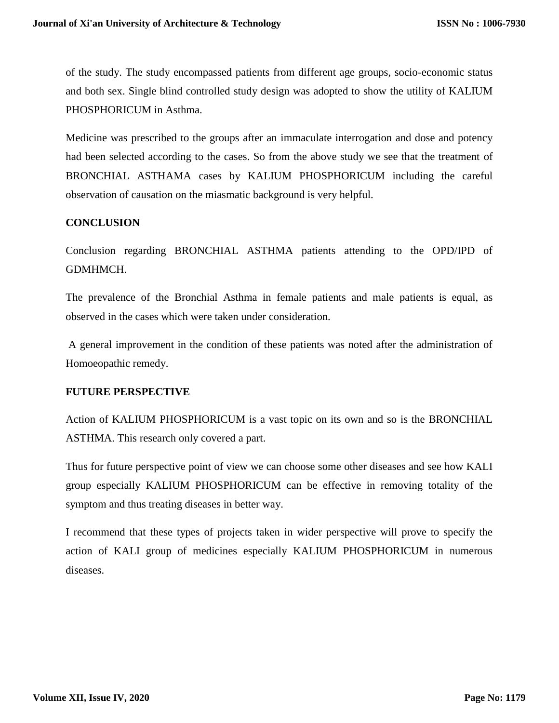of the study. The study encompassed patients from different age groups, socio-economic status and both sex. Single blind controlled study design was adopted to show the utility of KALIUM PHOSPHORICUM in Asthma.

Medicine was prescribed to the groups after an immaculate interrogation and dose and potency had been selected according to the cases. So from the above study we see that the treatment of BRONCHIAL ASTHAMA cases by KALIUM PHOSPHORICUM including the careful observation of causation on the miasmatic background is very helpful.

## **CONCLUSION**

Conclusion regarding BRONCHIAL ASTHMA patients attending to the OPD/IPD of GDMHMCH.

The prevalence of the Bronchial Asthma in female patients and male patients is equal, as observed in the cases which were taken under consideration.

A general improvement in the condition of these patients was noted after the administration of Homoeopathic remedy.

#### **FUTURE PERSPECTIVE**

Action of KALIUM PHOSPHORICUM is a vast topic on its own and so is the BRONCHIAL ASTHMA. This research only covered a part.

Thus for future perspective point of view we can choose some other diseases and see how KALI group especially KALIUM PHOSPHORICUM can be effective in removing totality of the symptom and thus treating diseases in better way.

I recommend that these types of projects taken in wider perspective will prove to specify the action of KALI group of medicines especially KALIUM PHOSPHORICUM in numerous diseases.